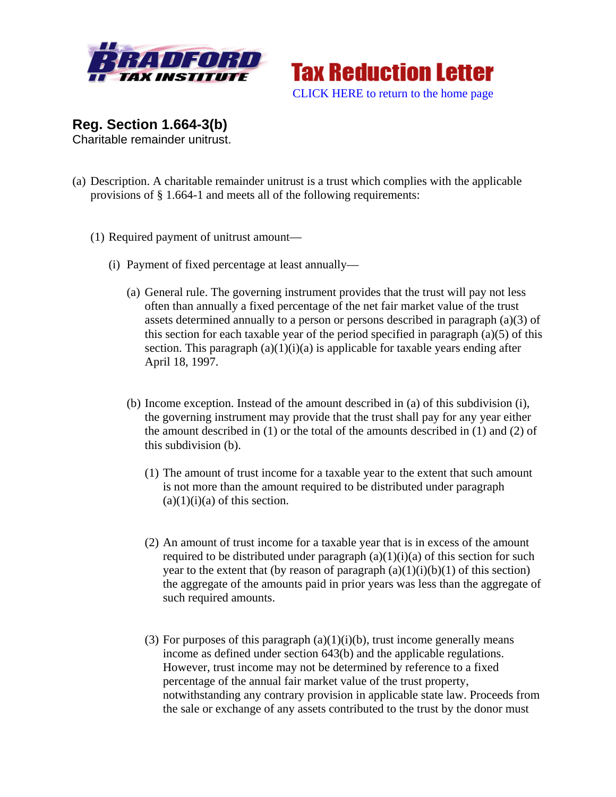



**Reg. Section 1.664-3(b)** 

Charitable remainder unitrust.

- (a) Description. A charitable remainder unitrust is a trust which complies with the applicable provisions of § 1.664-1 and meets all of the following requirements:
	- (1) Required payment of unitrust amount—
		- (i) Payment of fixed percentage at least annually—
			- (a) General rule. The governing instrument provides that the trust will pay not less often than annually a fixed percentage of the net fair market value of the trust assets determined annually to a person or persons described in paragraph (a)(3) of this section for each taxable year of the period specified in paragraph (a)(5) of this section. This paragraph  $(a)(1)(i)(a)$  is applicable for taxable years ending after April 18, 1997.
			- (b) Income exception. Instead of the amount described in (a) of this subdivision (i), the governing instrument may provide that the trust shall pay for any year either the amount described in (1) or the total of the amounts described in (1) and (2) of this subdivision (b).
				- (1) The amount of trust income for a taxable year to the extent that such amount is not more than the amount required to be distributed under paragraph  $(a)(1)(i)(a)$  of this section.
				- (2) An amount of trust income for a taxable year that is in excess of the amount required to be distributed under paragraph  $(a)(1)(i)(a)$  of this section for such year to the extent that (by reason of paragraph  $(a)(1)(i)(b)(1)$  of this section) the aggregate of the amounts paid in prior years was less than the aggregate of such required amounts.
				- (3) For purposes of this paragraph  $(a)(1)(i)(b)$ , trust income generally means income as defined under section 643(b) and the applicable regulations. However, trust income may not be determined by reference to a fixed percentage of the annual fair market value of the trust property, notwithstanding any contrary provision in applicable state law. Proceeds from the sale or exchange of any assets contributed to the trust by the donor must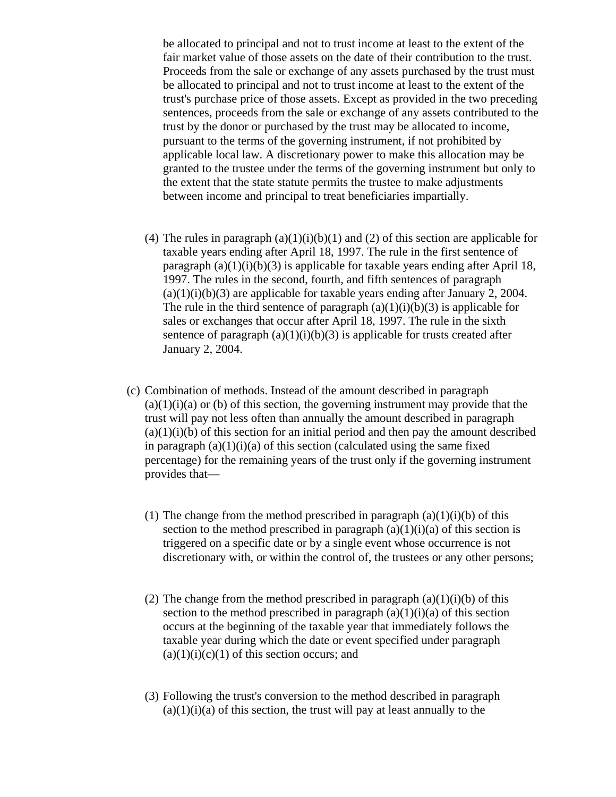be allocated to principal and not to trust income at least to the extent of the fair market value of those assets on the date of their contribution to the trust. Proceeds from the sale or exchange of any assets purchased by the trust must be allocated to principal and not to trust income at least to the extent of the trust's purchase price of those assets. Except as provided in the two preceding sentences, proceeds from the sale or exchange of any assets contributed to the trust by the donor or purchased by the trust may be allocated to income, pursuant to the terms of the governing instrument, if not prohibited by applicable local law. A discretionary power to make this allocation may be granted to the trustee under the terms of the governing instrument but only to the extent that the state statute permits the trustee to make adjustments between income and principal to treat beneficiaries impartially.

- (4) The rules in paragraph  $(a)(1)(i)(b)(1)$  and (2) of this section are applicable for taxable years ending after April 18, 1997. The rule in the first sentence of paragraph  $(a)(1)(i)(b)(3)$  is applicable for taxable years ending after April 18, 1997. The rules in the second, fourth, and fifth sentences of paragraph  $(a)(1)(i)(b)(3)$  are applicable for taxable years ending after January 2, 2004. The rule in the third sentence of paragraph  $(a)(1)(i)(b)(3)$  is applicable for sales or exchanges that occur after April 18, 1997. The rule in the sixth sentence of paragraph  $(a)(1)(i)(b)(3)$  is applicable for trusts created after January 2, 2004.
- (c) Combination of methods. Instead of the amount described in paragraph  $(a)(1)(i)(a)$  or (b) of this section, the governing instrument may provide that the trust will pay not less often than annually the amount described in paragraph  $(a)(1)(i)(b)$  of this section for an initial period and then pay the amount described in paragraph  $(a)(1)(i)(a)$  of this section (calculated using the same fixed percentage) for the remaining years of the trust only if the governing instrument provides that—
	- (1) The change from the method prescribed in paragraph  $(a)(1)(i)(b)$  of this section to the method prescribed in paragraph  $(a)(1)(i)(a)$  of this section is triggered on a specific date or by a single event whose occurrence is not discretionary with, or within the control of, the trustees or any other persons;
	- (2) The change from the method prescribed in paragraph  $(a)(1)(i)(b)$  of this section to the method prescribed in paragraph  $(a)(1)(i)(a)$  of this section occurs at the beginning of the taxable year that immediately follows the taxable year during which the date or event specified under paragraph  $(a)(1)(i)(c)(1)$  of this section occurs; and
	- (3) Following the trust's conversion to the method described in paragraph  $(a)(1)(i)(a)$  of this section, the trust will pay at least annually to the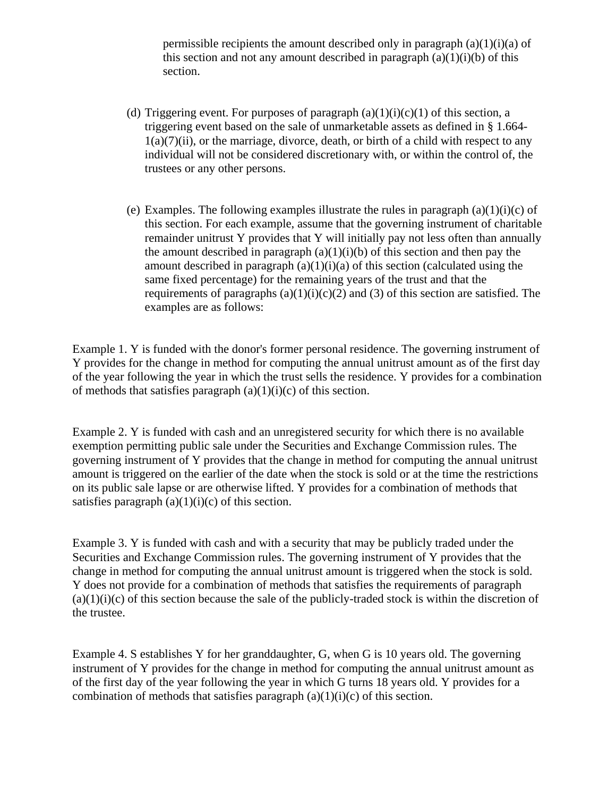permissible recipients the amount described only in paragraph  $(a)(1)(i)(a)$  of this section and not any amount described in paragraph  $(a)(1)(i)(b)$  of this section.

- (d) Triggering event. For purposes of paragraph  $(a)(1)(i)(c)(1)$  of this section, a triggering event based on the sale of unmarketable assets as defined in § 1.664-  $1(a)(7)(ii)$ , or the marriage, divorce, death, or birth of a child with respect to any individual will not be considered discretionary with, or within the control of, the trustees or any other persons.
- (e) Examples. The following examples illustrate the rules in paragraph  $(a)(1)(i)(c)$  of this section. For each example, assume that the governing instrument of charitable remainder unitrust Y provides that Y will initially pay not less often than annually the amount described in paragraph  $(a)(1)(i)(b)$  of this section and then pay the amount described in paragraph  $(a)(1)(i)(a)$  of this section (calculated using the same fixed percentage) for the remaining years of the trust and that the requirements of paragraphs  $(a)(1)(i)(c)(2)$  and  $(3)$  of this section are satisfied. The examples are as follows:

Example 1. Y is funded with the donor's former personal residence. The governing instrument of Y provides for the change in method for computing the annual unitrust amount as of the first day of the year following the year in which the trust sells the residence. Y provides for a combination of methods that satisfies paragraph  $(a)(1)(i)(c)$  of this section.

Example 2. Y is funded with cash and an unregistered security for which there is no available exemption permitting public sale under the Securities and Exchange Commission rules. The governing instrument of Y provides that the change in method for computing the annual unitrust amount is triggered on the earlier of the date when the stock is sold or at the time the restrictions on its public sale lapse or are otherwise lifted. Y provides for a combination of methods that satisfies paragraph  $(a)(1)(i)(c)$  of this section.

Example 3. Y is funded with cash and with a security that may be publicly traded under the Securities and Exchange Commission rules. The governing instrument of Y provides that the change in method for computing the annual unitrust amount is triggered when the stock is sold. Y does not provide for a combination of methods that satisfies the requirements of paragraph  $(a)(1)(i)(c)$  of this section because the sale of the publicly-traded stock is within the discretion of the trustee.

Example 4. S establishes Y for her granddaughter, G, when G is 10 years old. The governing instrument of Y provides for the change in method for computing the annual unitrust amount as of the first day of the year following the year in which G turns 18 years old. Y provides for a combination of methods that satisfies paragraph  $(a)(1)(i)(c)$  of this section.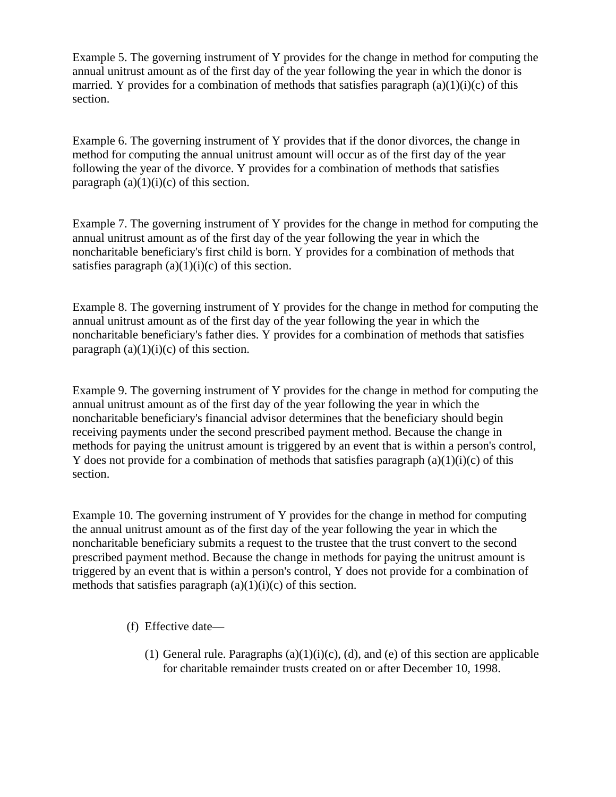Example 5. The governing instrument of Y provides for the change in method for computing the annual unitrust amount as of the first day of the year following the year in which the donor is married. Y provides for a combination of methods that satisfies paragraph  $(a)(1)(i)(c)$  of this section.

Example 6. The governing instrument of Y provides that if the donor divorces, the change in method for computing the annual unitrust amount will occur as of the first day of the year following the year of the divorce. Y provides for a combination of methods that satisfies paragraph  $(a)(1)(i)(c)$  of this section.

Example 7. The governing instrument of Y provides for the change in method for computing the annual unitrust amount as of the first day of the year following the year in which the noncharitable beneficiary's first child is born. Y provides for a combination of methods that satisfies paragraph  $(a)(1)(i)(c)$  of this section.

Example 8. The governing instrument of Y provides for the change in method for computing the annual unitrust amount as of the first day of the year following the year in which the noncharitable beneficiary's father dies. Y provides for a combination of methods that satisfies paragraph  $(a)(1)(i)(c)$  of this section.

Example 9. The governing instrument of Y provides for the change in method for computing the annual unitrust amount as of the first day of the year following the year in which the noncharitable beneficiary's financial advisor determines that the beneficiary should begin receiving payments under the second prescribed payment method. Because the change in methods for paying the unitrust amount is triggered by an event that is within a person's control, Y does not provide for a combination of methods that satisfies paragraph  $(a)(1)(i)(c)$  of this section.

Example 10. The governing instrument of Y provides for the change in method for computing the annual unitrust amount as of the first day of the year following the year in which the noncharitable beneficiary submits a request to the trustee that the trust convert to the second prescribed payment method. Because the change in methods for paying the unitrust amount is triggered by an event that is within a person's control, Y does not provide for a combination of methods that satisfies paragraph  $(a)(1)(i)(c)$  of this section.

- (f) Effective date—
	- (1) General rule. Paragraphs  $(a)(1)(i)(c)$ ,  $(d)$ , and  $(e)$  of this section are applicable for charitable remainder trusts created on or after December 10, 1998.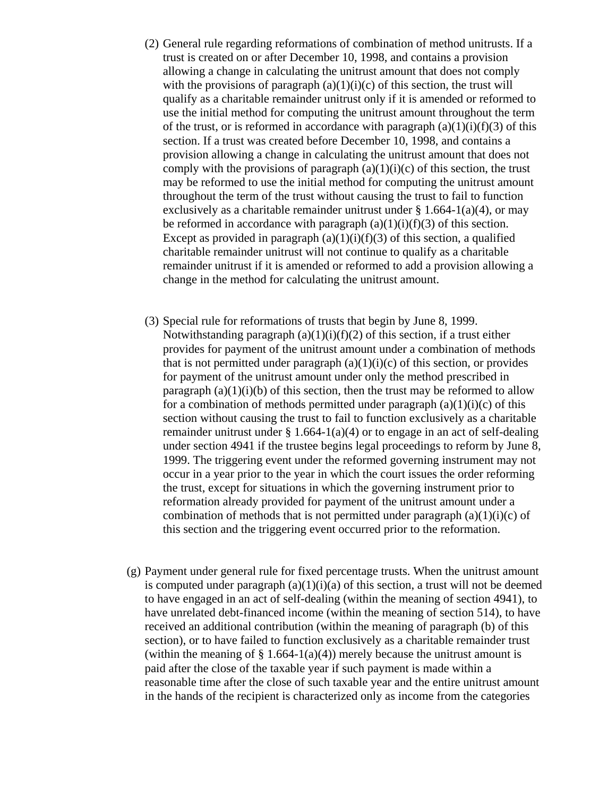- (2) General rule regarding reformations of combination of method unitrusts. If a trust is created on or after December 10, 1998, and contains a provision allowing a change in calculating the unitrust amount that does not comply with the provisions of paragraph  $(a)(1)(i)(c)$  of this section, the trust will qualify as a charitable remainder unitrust only if it is amended or reformed to use the initial method for computing the unitrust amount throughout the term of the trust, or is reformed in accordance with paragraph  $(a)(1)(i)(f)(3)$  of this section. If a trust was created before December 10, 1998, and contains a provision allowing a change in calculating the unitrust amount that does not comply with the provisions of paragraph  $(a)(1)(i)(c)$  of this section, the trust may be reformed to use the initial method for computing the unitrust amount throughout the term of the trust without causing the trust to fail to function exclusively as a charitable remainder unitrust under  $\S 1.664-1(a)(4)$ , or may be reformed in accordance with paragraph  $(a)(1)(i)(f)(3)$  of this section. Except as provided in paragraph  $(a)(1)(i)(f)(3)$  of this section, a qualified charitable remainder unitrust will not continue to qualify as a charitable remainder unitrust if it is amended or reformed to add a provision allowing a change in the method for calculating the unitrust amount.
- (3) Special rule for reformations of trusts that begin by June 8, 1999. Notwithstanding paragraph  $(a)(1)(i)(f)(2)$  of this section, if a trust either provides for payment of the unitrust amount under a combination of methods that is not permitted under paragraph  $(a)(1)(i)(c)$  of this section, or provides for payment of the unitrust amount under only the method prescribed in paragraph  $(a)(1)(i)(b)$  of this section, then the trust may be reformed to allow for a combination of methods permitted under paragraph  $(a)(1)(i)(c)$  of this section without causing the trust to fail to function exclusively as a charitable remainder unitrust under  $\S 1.664-1(a)(4)$  or to engage in an act of self-dealing under section 4941 if the trustee begins legal proceedings to reform by June 8, 1999. The triggering event under the reformed governing instrument may not occur in a year prior to the year in which the court issues the order reforming the trust, except for situations in which the governing instrument prior to reformation already provided for payment of the unitrust amount under a combination of methods that is not permitted under paragraph  $(a)(1)(i)(c)$  of this section and the triggering event occurred prior to the reformation.
- (g) Payment under general rule for fixed percentage trusts. When the unitrust amount is computed under paragraph  $(a)(1)(i)(a)$  of this section, a trust will not be deemed to have engaged in an act of self-dealing (within the meaning of section 4941), to have unrelated debt-financed income (within the meaning of section 514), to have received an additional contribution (within the meaning of paragraph (b) of this section), or to have failed to function exclusively as a charitable remainder trust (within the meaning of  $\S 1.664-1(a)(4)$ ) merely because the unitrust amount is paid after the close of the taxable year if such payment is made within a reasonable time after the close of such taxable year and the entire unitrust amount in the hands of the recipient is characterized only as income from the categories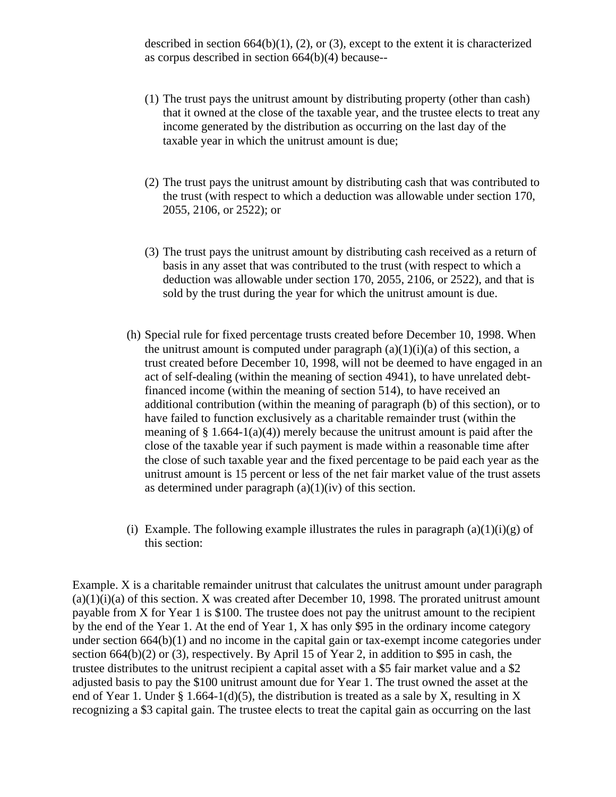described in section  $664(b)(1)$ ,  $(2)$ , or  $(3)$ , except to the extent it is characterized as corpus described in section 664(b)(4) because--

- (1) The trust pays the unitrust amount by distributing property (other than cash) that it owned at the close of the taxable year, and the trustee elects to treat any income generated by the distribution as occurring on the last day of the taxable year in which the unitrust amount is due;
- (2) The trust pays the unitrust amount by distributing cash that was contributed to the trust (with respect to which a deduction was allowable under section 170, 2055, 2106, or 2522); or
- (3) The trust pays the unitrust amount by distributing cash received as a return of basis in any asset that was contributed to the trust (with respect to which a deduction was allowable under section 170, 2055, 2106, or 2522), and that is sold by the trust during the year for which the unitrust amount is due.
- (h) Special rule for fixed percentage trusts created before December 10, 1998. When the unitrust amount is computed under paragraph  $(a)(1)(i)(a)$  of this section, a trust created before December 10, 1998, will not be deemed to have engaged in an act of self-dealing (within the meaning of section 4941), to have unrelated debtfinanced income (within the meaning of section 514), to have received an additional contribution (within the meaning of paragraph (b) of this section), or to have failed to function exclusively as a charitable remainder trust (within the meaning of  $\S 1.664-1(a)(4)$  merely because the unitrust amount is paid after the close of the taxable year if such payment is made within a reasonable time after the close of such taxable year and the fixed percentage to be paid each year as the unitrust amount is 15 percent or less of the net fair market value of the trust assets as determined under paragraph (a)(1)(iv) of this section.
- (i) Example. The following example illustrates the rules in paragraph  $(a)(1)(i)(g)$  of this section:

Example. X is a charitable remainder unitrust that calculates the unitrust amount under paragraph  $(a)(1)(i)(a)$  of this section. X was created after December 10, 1998. The prorated unitrust amount payable from X for Year 1 is \$100. The trustee does not pay the unitrust amount to the recipient by the end of the Year 1. At the end of Year 1, X has only \$95 in the ordinary income category under section 664(b)(1) and no income in the capital gain or tax-exempt income categories under section 664(b)(2) or (3), respectively. By April 15 of Year 2, in addition to \$95 in cash, the trustee distributes to the unitrust recipient a capital asset with a \$5 fair market value and a \$2 adjusted basis to pay the \$100 unitrust amount due for Year 1. The trust owned the asset at the end of Year 1. Under § 1.664-1(d)(5), the distribution is treated as a sale by X, resulting in X recognizing a \$3 capital gain. The trustee elects to treat the capital gain as occurring on the last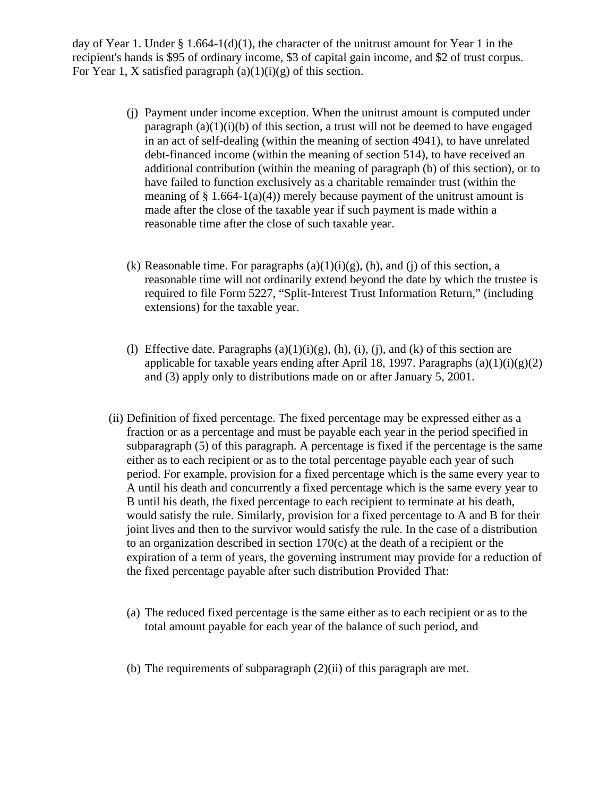day of Year 1. Under § 1.664-1(d)(1), the character of the unitrust amount for Year 1 in the recipient's hands is \$95 of ordinary income, \$3 of capital gain income, and \$2 of trust corpus. For Year 1, X satisfied paragraph  $(a)(1)(i)(g)$  of this section.

- (j) Payment under income exception. When the unitrust amount is computed under paragraph  $(a)(1)(i)(b)$  of this section, a trust will not be deemed to have engaged in an act of self-dealing (within the meaning of section 4941), to have unrelated debt-financed income (within the meaning of section 514), to have received an additional contribution (within the meaning of paragraph (b) of this section), or to have failed to function exclusively as a charitable remainder trust (within the meaning of  $\S 1.664-1(a)(4)$  merely because payment of the unitrust amount is made after the close of the taxable year if such payment is made within a reasonable time after the close of such taxable year.
- (k) Reasonable time. For paragraphs  $(a)(1)(i)(g)$ ,  $(h)$ , and  $(i)$  of this section, a reasonable time will not ordinarily extend beyond the date by which the trustee is required to file Form 5227, "Split-Interest Trust Information Return," (including extensions) for the taxable year.
- (l) Effective date. Paragraphs  $(a)(1)(i)(g)$ ,  $(h)$ ,  $(i)$ ,  $(i)$ , and  $(k)$  of this section are applicable for taxable years ending after April 18, 1997. Paragraphs (a)(1)(i)(g)(2) and (3) apply only to distributions made on or after January 5, 2001.
- (ii) Definition of fixed percentage. The fixed percentage may be expressed either as a fraction or as a percentage and must be payable each year in the period specified in subparagraph (5) of this paragraph. A percentage is fixed if the percentage is the same either as to each recipient or as to the total percentage payable each year of such period. For example, provision for a fixed percentage which is the same every year to A until his death and concurrently a fixed percentage which is the same every year to B until his death, the fixed percentage to each recipient to terminate at his death, would satisfy the rule. Similarly, provision for a fixed percentage to A and B for their joint lives and then to the survivor would satisfy the rule. In the case of a distribution to an organization described in section 170(c) at the death of a recipient or the expiration of a term of years, the governing instrument may provide for a reduction of the fixed percentage payable after such distribution Provided That:
	- (a) The reduced fixed percentage is the same either as to each recipient or as to the total amount payable for each year of the balance of such period, and
	- (b) The requirements of subparagraph (2)(ii) of this paragraph are met.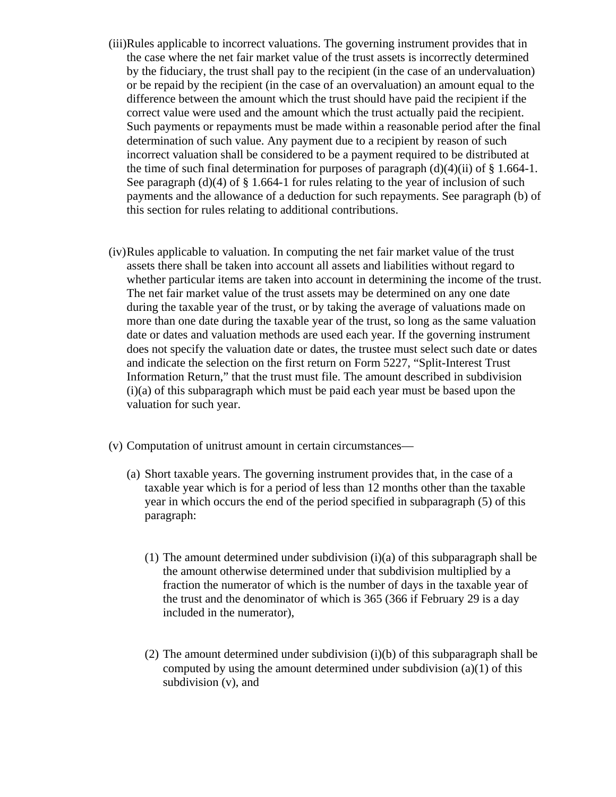- (iii)Rules applicable to incorrect valuations. The governing instrument provides that in the case where the net fair market value of the trust assets is incorrectly determined by the fiduciary, the trust shall pay to the recipient (in the case of an undervaluation) or be repaid by the recipient (in the case of an overvaluation) an amount equal to the difference between the amount which the trust should have paid the recipient if the correct value were used and the amount which the trust actually paid the recipient. Such payments or repayments must be made within a reasonable period after the final determination of such value. Any payment due to a recipient by reason of such incorrect valuation shall be considered to be a payment required to be distributed at the time of such final determination for purposes of paragraph  $(d)(4)(ii)$  of § 1.664-1. See paragraph  $(d)(4)$  of  $\S 1.664-1$  for rules relating to the year of inclusion of such payments and the allowance of a deduction for such repayments. See paragraph (b) of this section for rules relating to additional contributions.
- (iv)Rules applicable to valuation. In computing the net fair market value of the trust assets there shall be taken into account all assets and liabilities without regard to whether particular items are taken into account in determining the income of the trust. The net fair market value of the trust assets may be determined on any one date during the taxable year of the trust, or by taking the average of valuations made on more than one date during the taxable year of the trust, so long as the same valuation date or dates and valuation methods are used each year. If the governing instrument does not specify the valuation date or dates, the trustee must select such date or dates and indicate the selection on the first return on Form 5227, "Split-Interest Trust Information Return," that the trust must file. The amount described in subdivision (i)(a) of this subparagraph which must be paid each year must be based upon the valuation for such year.
- (v) Computation of unitrust amount in certain circumstances—
	- (a) Short taxable years. The governing instrument provides that, in the case of a taxable year which is for a period of less than 12 months other than the taxable year in which occurs the end of the period specified in subparagraph (5) of this paragraph:
		- (1) The amount determined under subdivision (i)(a) of this subparagraph shall be the amount otherwise determined under that subdivision multiplied by a fraction the numerator of which is the number of days in the taxable year of the trust and the denominator of which is 365 (366 if February 29 is a day included in the numerator),
		- (2) The amount determined under subdivision (i)(b) of this subparagraph shall be computed by using the amount determined under subdivision (a)(1) of this subdivision (v), and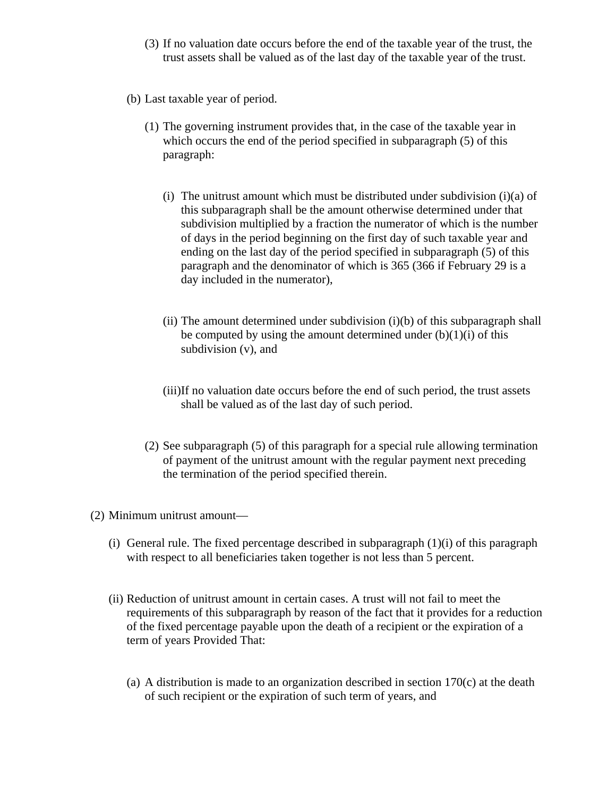- (3) If no valuation date occurs before the end of the taxable year of the trust, the trust assets shall be valued as of the last day of the taxable year of the trust.
- (b) Last taxable year of period.
	- (1) The governing instrument provides that, in the case of the taxable year in which occurs the end of the period specified in subparagraph (5) of this paragraph:
		- (i) The unitrust amount which must be distributed under subdivision (i)(a) of this subparagraph shall be the amount otherwise determined under that subdivision multiplied by a fraction the numerator of which is the number of days in the period beginning on the first day of such taxable year and ending on the last day of the period specified in subparagraph (5) of this paragraph and the denominator of which is 365 (366 if February 29 is a day included in the numerator),
		- (ii) The amount determined under subdivision  $(i)(b)$  of this subparagraph shall be computed by using the amount determined under  $(b)(1)(i)$  of this subdivision (v), and
		- (iii)If no valuation date occurs before the end of such period, the trust assets shall be valued as of the last day of such period.
	- (2) See subparagraph (5) of this paragraph for a special rule allowing termination of payment of the unitrust amount with the regular payment next preceding the termination of the period specified therein.
- (2) Minimum unitrust amount—
	- (i) General rule. The fixed percentage described in subparagraph  $(1)(i)$  of this paragraph with respect to all beneficiaries taken together is not less than 5 percent.
	- (ii) Reduction of unitrust amount in certain cases. A trust will not fail to meet the requirements of this subparagraph by reason of the fact that it provides for a reduction of the fixed percentage payable upon the death of a recipient or the expiration of a term of years Provided That:
		- (a) A distribution is made to an organization described in section 170(c) at the death of such recipient or the expiration of such term of years, and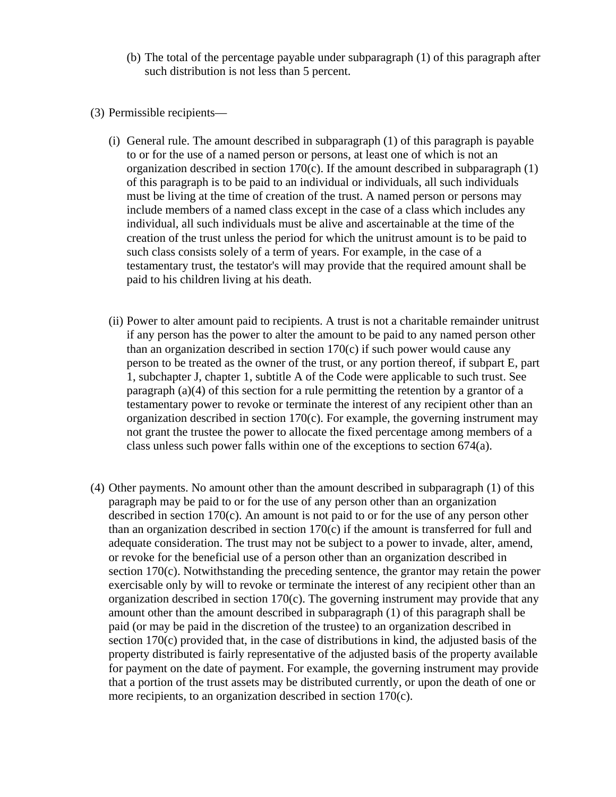- (b) The total of the percentage payable under subparagraph (1) of this paragraph after such distribution is not less than 5 percent.
- (3) Permissible recipients—
	- (i) General rule. The amount described in subparagraph (1) of this paragraph is payable to or for the use of a named person or persons, at least one of which is not an organization described in section 170(c). If the amount described in subparagraph (1) of this paragraph is to be paid to an individual or individuals, all such individuals must be living at the time of creation of the trust. A named person or persons may include members of a named class except in the case of a class which includes any individual, all such individuals must be alive and ascertainable at the time of the creation of the trust unless the period for which the unitrust amount is to be paid to such class consists solely of a term of years. For example, in the case of a testamentary trust, the testator's will may provide that the required amount shall be paid to his children living at his death.
	- (ii) Power to alter amount paid to recipients. A trust is not a charitable remainder unitrust if any person has the power to alter the amount to be paid to any named person other than an organization described in section 170(c) if such power would cause any person to be treated as the owner of the trust, or any portion thereof, if subpart E, part 1, subchapter J, chapter 1, subtitle A of the Code were applicable to such trust. See paragraph (a)(4) of this section for a rule permitting the retention by a grantor of a testamentary power to revoke or terminate the interest of any recipient other than an organization described in section 170(c). For example, the governing instrument may not grant the trustee the power to allocate the fixed percentage among members of a class unless such power falls within one of the exceptions to section 674(a).
- (4) Other payments. No amount other than the amount described in subparagraph (1) of this paragraph may be paid to or for the use of any person other than an organization described in section 170(c). An amount is not paid to or for the use of any person other than an organization described in section  $170(c)$  if the amount is transferred for full and adequate consideration. The trust may not be subject to a power to invade, alter, amend, or revoke for the beneficial use of a person other than an organization described in section 170(c). Notwithstanding the preceding sentence, the grantor may retain the power exercisable only by will to revoke or terminate the interest of any recipient other than an organization described in section 170(c). The governing instrument may provide that any amount other than the amount described in subparagraph (1) of this paragraph shall be paid (or may be paid in the discretion of the trustee) to an organization described in section 170(c) provided that, in the case of distributions in kind, the adjusted basis of the property distributed is fairly representative of the adjusted basis of the property available for payment on the date of payment. For example, the governing instrument may provide that a portion of the trust assets may be distributed currently, or upon the death of one or more recipients, to an organization described in section 170(c).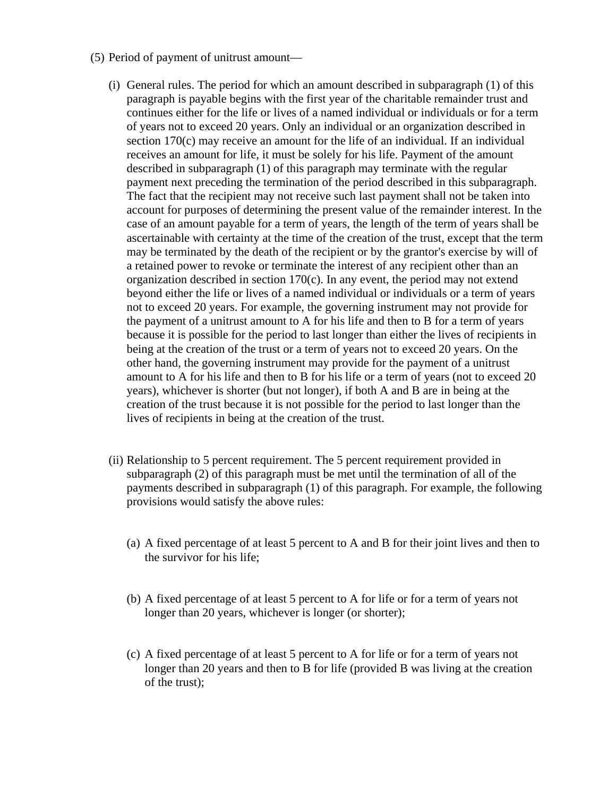- (5) Period of payment of unitrust amount—
	- (i) General rules. The period for which an amount described in subparagraph (1) of this paragraph is payable begins with the first year of the charitable remainder trust and continues either for the life or lives of a named individual or individuals or for a term of years not to exceed 20 years. Only an individual or an organization described in section 170(c) may receive an amount for the life of an individual. If an individual receives an amount for life, it must be solely for his life. Payment of the amount described in subparagraph (1) of this paragraph may terminate with the regular payment next preceding the termination of the period described in this subparagraph. The fact that the recipient may not receive such last payment shall not be taken into account for purposes of determining the present value of the remainder interest. In the case of an amount payable for a term of years, the length of the term of years shall be ascertainable with certainty at the time of the creation of the trust, except that the term may be terminated by the death of the recipient or by the grantor's exercise by will of a retained power to revoke or terminate the interest of any recipient other than an organization described in section 170(c). In any event, the period may not extend beyond either the life or lives of a named individual or individuals or a term of years not to exceed 20 years. For example, the governing instrument may not provide for the payment of a unitrust amount to A for his life and then to B for a term of years because it is possible for the period to last longer than either the lives of recipients in being at the creation of the trust or a term of years not to exceed 20 years. On the other hand, the governing instrument may provide for the payment of a unitrust amount to A for his life and then to B for his life or a term of years (not to exceed 20 years), whichever is shorter (but not longer), if both A and B are in being at the creation of the trust because it is not possible for the period to last longer than the lives of recipients in being at the creation of the trust.
	- (ii) Relationship to 5 percent requirement. The 5 percent requirement provided in subparagraph (2) of this paragraph must be met until the termination of all of the payments described in subparagraph (1) of this paragraph. For example, the following provisions would satisfy the above rules:
		- (a) A fixed percentage of at least 5 percent to A and B for their joint lives and then to the survivor for his life;
		- (b) A fixed percentage of at least 5 percent to A for life or for a term of years not longer than 20 years, whichever is longer (or shorter);
		- (c) A fixed percentage of at least 5 percent to A for life or for a term of years not longer than 20 years and then to B for life (provided B was living at the creation of the trust);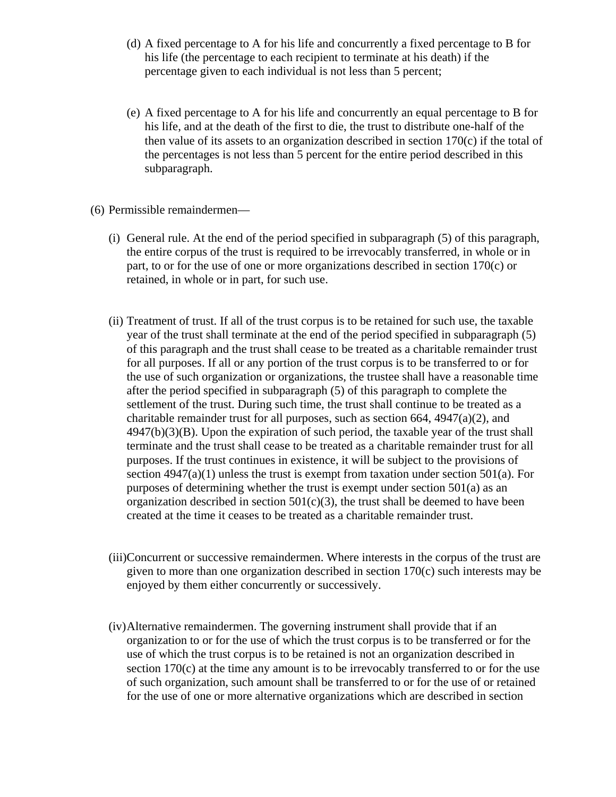- (d) A fixed percentage to A for his life and concurrently a fixed percentage to B for his life (the percentage to each recipient to terminate at his death) if the percentage given to each individual is not less than 5 percent;
- (e) A fixed percentage to A for his life and concurrently an equal percentage to B for his life, and at the death of the first to die, the trust to distribute one-half of the then value of its assets to an organization described in section  $170(c)$  if the total of the percentages is not less than 5 percent for the entire period described in this subparagraph.
- (6) Permissible remaindermen—
	- (i) General rule. At the end of the period specified in subparagraph (5) of this paragraph, the entire corpus of the trust is required to be irrevocably transferred, in whole or in part, to or for the use of one or more organizations described in section 170(c) or retained, in whole or in part, for such use.
	- (ii) Treatment of trust. If all of the trust corpus is to be retained for such use, the taxable year of the trust shall terminate at the end of the period specified in subparagraph (5) of this paragraph and the trust shall cease to be treated as a charitable remainder trust for all purposes. If all or any portion of the trust corpus is to be transferred to or for the use of such organization or organizations, the trustee shall have a reasonable time after the period specified in subparagraph (5) of this paragraph to complete the settlement of the trust. During such time, the trust shall continue to be treated as a charitable remainder trust for all purposes, such as section 664, 4947(a)(2), and 4947(b)(3)(B). Upon the expiration of such period, the taxable year of the trust shall terminate and the trust shall cease to be treated as a charitable remainder trust for all purposes. If the trust continues in existence, it will be subject to the provisions of section  $4947(a)(1)$  unless the trust is exempt from taxation under section  $501(a)$ . For purposes of determining whether the trust is exempt under section 501(a) as an organization described in section  $501(c)(3)$ , the trust shall be deemed to have been created at the time it ceases to be treated as a charitable remainder trust.
	- (iii)Concurrent or successive remaindermen. Where interests in the corpus of the trust are given to more than one organization described in section 170(c) such interests may be enjoyed by them either concurrently or successively.
	- (iv)Alternative remaindermen. The governing instrument shall provide that if an organization to or for the use of which the trust corpus is to be transferred or for the use of which the trust corpus is to be retained is not an organization described in section 170(c) at the time any amount is to be irrevocably transferred to or for the use of such organization, such amount shall be transferred to or for the use of or retained for the use of one or more alternative organizations which are described in section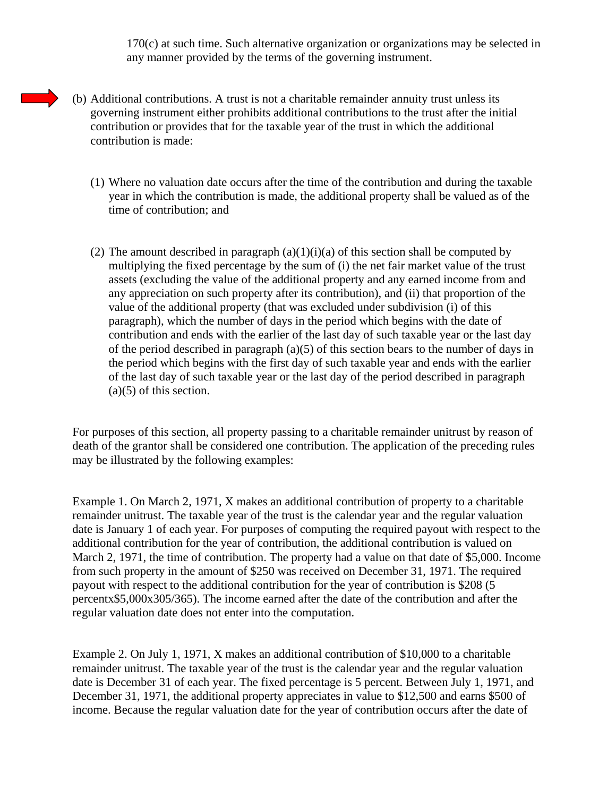170(c) at such time. Such alternative organization or organizations may be selected in any manner provided by the terms of the governing instrument.

- (b) Additional contributions. A trust is not a charitable remainder annuity trust unless its governing instrument either prohibits additional contributions to the trust after the initial contribution or provides that for the taxable year of the trust in which the additional contribution is made:
	- (1) Where no valuation date occurs after the time of the contribution and during the taxable year in which the contribution is made, the additional property shall be valued as of the time of contribution; and
	- (2) The amount described in paragraph  $(a)(1)(i)(a)$  of this section shall be computed by multiplying the fixed percentage by the sum of (i) the net fair market value of the trust assets (excluding the value of the additional property and any earned income from and any appreciation on such property after its contribution), and (ii) that proportion of the value of the additional property (that was excluded under subdivision (i) of this paragraph), which the number of days in the period which begins with the date of contribution and ends with the earlier of the last day of such taxable year or the last day of the period described in paragraph (a)(5) of this section bears to the number of days in the period which begins with the first day of such taxable year and ends with the earlier of the last day of such taxable year or the last day of the period described in paragraph (a)(5) of this section.

For purposes of this section, all property passing to a charitable remainder unitrust by reason of death of the grantor shall be considered one contribution. The application of the preceding rules may be illustrated by the following examples:

Example 1. On March 2, 1971, X makes an additional contribution of property to a charitable remainder unitrust. The taxable year of the trust is the calendar year and the regular valuation date is January 1 of each year. For purposes of computing the required payout with respect to the additional contribution for the year of contribution, the additional contribution is valued on March 2, 1971, the time of contribution. The property had a value on that date of \$5,000. Income from such property in the amount of \$250 was received on December 31, 1971. The required payout with respect to the additional contribution for the year of contribution is \$208 (5 percentx\$5,000x305/365). The income earned after the date of the contribution and after the regular valuation date does not enter into the computation.

Example 2. On July 1, 1971, X makes an additional contribution of \$10,000 to a charitable remainder unitrust. The taxable year of the trust is the calendar year and the regular valuation date is December 31 of each year. The fixed percentage is 5 percent. Between July 1, 1971, and December 31, 1971, the additional property appreciates in value to \$12,500 and earns \$500 of income. Because the regular valuation date for the year of contribution occurs after the date of